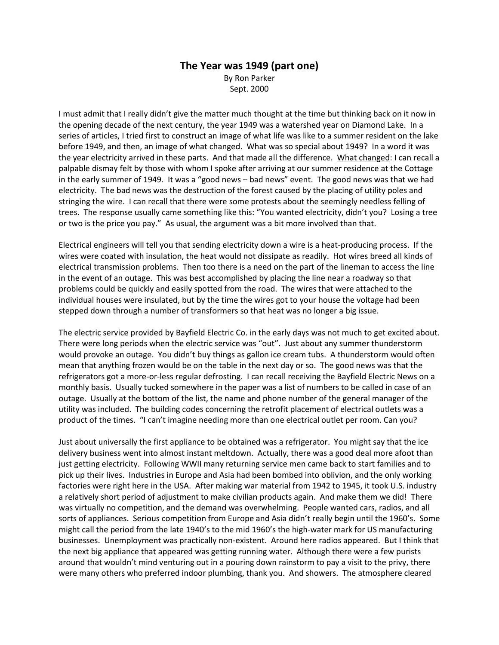## **The Year was 1949 (part one)** By Ron Parker

Sept. 2000

I must admit that I really didn't give the matter much thought at the time but thinking back on it now in the opening decade of the next century, the year 1949 was a watershed year on Diamond Lake. In a series of articles, I tried first to construct an image of what life was like to a summer resident on the lake before 1949, and then, an image of what changed. What was so special about 1949? In a word it was the year electricity arrived in these parts. And that made all the difference. What changed: I can recall a palpable dismay felt by those with whom I spoke after arriving at our summer residence at the Cottage in the early summer of 1949. It was a "good news – bad news" event. The good news was that we had electricity. The bad news was the destruction of the forest caused by the placing of utility poles and stringing the wire. I can recall that there were some protests about the seemingly needless felling of trees. The response usually came something like this: "You wanted electricity, didn't you? Losing a tree or two is the price you pay." As usual, the argument was a bit more involved than that.

Electrical engineers will tell you that sending electricity down a wire is a heat-producing process. If the wires were coated with insulation, the heat would not dissipate as readily. Hot wires breed all kinds of electrical transmission problems. Then too there is a need on the part of the lineman to access the line in the event of an outage. This was best accomplished by placing the line near a roadway so that problems could be quickly and easily spotted from the road. The wires that were attached to the individual houses were insulated, but by the time the wires got to your house the voltage had been stepped down through a number of transformers so that heat was no longer a big issue.

The electric service provided by Bayfield Electric Co. in the early days was not much to get excited about. There were long periods when the electric service was "out". Just about any summer thunderstorm would provoke an outage. You didn't buy things as gallon ice cream tubs. A thunderstorm would often mean that anything frozen would be on the table in the next day or so. The good news was that the refrigerators got a more-or-less regular defrosting. I can recall receiving the Bayfield Electric News on a monthly basis. Usually tucked somewhere in the paper was a list of numbers to be called in case of an outage. Usually at the bottom of the list, the name and phone number of the general manager of the utility was included. The building codes concerning the retrofit placement of electrical outlets was a product of the times. "I can't imagine needing more than one electrical outlet per room. Can you?

Just about universally the first appliance to be obtained was a refrigerator. You might say that the ice delivery business went into almost instant meltdown. Actually, there was a good deal more afoot than just getting electricity. Following WWII many returning service men came back to start families and to pick up their lives. Industries in Europe and Asia had been bombed into oblivion, and the only working factories were right here in the USA. After making war material from 1942 to 1945, it took U.S. industry a relatively short period of adjustment to make civilian products again. And make them we did! There was virtually no competition, and the demand was overwhelming. People wanted cars, radios, and all sorts of appliances. Serious competition from Europe and Asia didn't really begin until the 1960's. Some might call the period from the late 1940's to the mid 1960's the high-water mark for US manufacturing businesses. Unemployment was practically non-existent. Around here radios appeared. But I think that the next big appliance that appeared was getting running water. Although there were a few purists around that wouldn't mind venturing out in a pouring down rainstorm to pay a visit to the privy, there were many others who preferred indoor plumbing, thank you. And showers. The atmosphere cleared